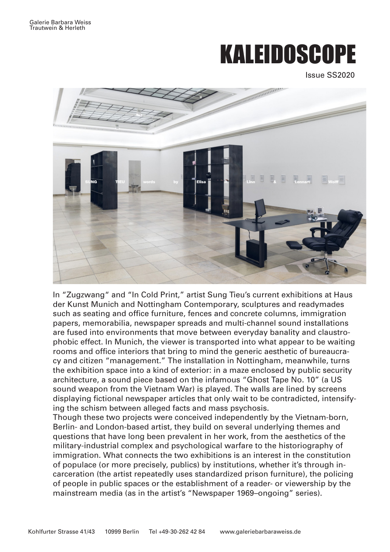## KALEIDOSCOPE

Issue SS2020



In "Zugzwang" and "In Cold Print," artist Sung Tieu's current exhibitions at Haus der Kunst Munich and Nottingham Contemporary, sculptures and readymades such as seating and office furniture, fences and concrete columns, immigration papers, memorabilia, newspaper spreads and multi-channel sound installations are fused into environments that move between everyday banality and claustrophobic effect. In Munich, the viewer is transported into what appear to be waiting rooms and office interiors that bring to mind the generic aesthetic of bureaucracy and citizen "management." The installation in Nottingham, meanwhile, turns the exhibition space into a kind of exterior: in a maze enclosed by public security architecture, a sound piece based on the infamous "Ghost Tape No. 10" (a US sound weapon from the Vietnam War) is played. The walls are lined by screens displaying fictional newspaper articles that only wait to be contradicted, intensifying the schism between alleged facts and mass psychosis.

Though these two projects were conceived independently by the Vietnam-born, Berlin- and London-based artist, they build on several underlying themes and questions that have long been prevalent in her work, from the aesthetics of the military-industrial complex and psychological warfare to the historiography of immigration. What connects the two exhibitions is an interest in the constitution of populace (or more precisely, publics) by institutions, whether it's through incarceration (the artist repeatedly uses standardized prison furniture), the policing of people in public spaces or the establishment of a reader- or viewership by the mainstream media (as in the artist's "Newspaper 1969–ongoing" series).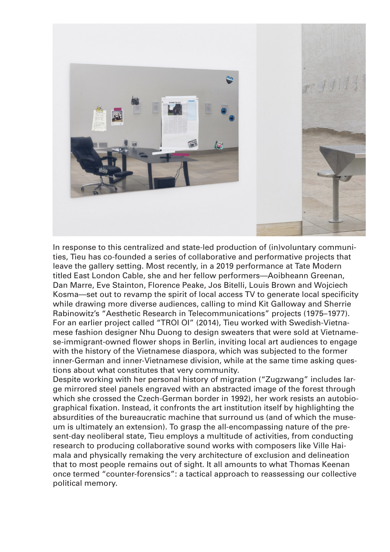

In response to this centralized and state-led production of (in)voluntary communities, Tieu has co-founded a series of collaborative and performative projects that leave the gallery setting. Most recently, in a 2019 performance at Tate Modern titled East London Cable, she and her fellow performers—Aoibheann Greenan, Dan Marre, Eve Stainton, Florence Peake, Jos Bitelli, Louis Brown and Wojciech Kosma—set out to revamp the spirit of local access TV to generate local specificity while drawing more diverse audiences, calling to mind Kit Galloway and Sherrie Rabinowitz's "Aesthetic Research in Telecommunications" projects (1975–1977). For an earlier project called "TROI OI" (2014), Tieu worked with Swedish-Vietnamese fashion designer Nhu Duong to design sweaters that were sold at Vietnamese-immigrant-owned flower shops in Berlin, inviting local art audiences to engage with the history of the Vietnamese diaspora, which was subjected to the former inner-German and inner-Vietnamese division, while at the same time asking questions about what constitutes that very community.

Despite working with her personal history of migration ("Zugzwang" includes large mirrored steel panels engraved with an abstracted image of the forest through which she crossed the Czech-German border in 1992), her work resists an autobiographical fixation. Instead, it confronts the art institution itself by highlighting the absurdities of the bureaucratic machine that surround us (and of which the museum is ultimately an extension). To grasp the all-encompassing nature of the present-day neoliberal state, Tieu employs a multitude of activities, from conducting research to producing collaborative sound works with composers like Ville Haimala and physically remaking the very architecture of exclusion and delineation that to most people remains out of sight. It all amounts to what Thomas Keenan once termed "counter-forensics": a tactical approach to reassessing our collective political memory.